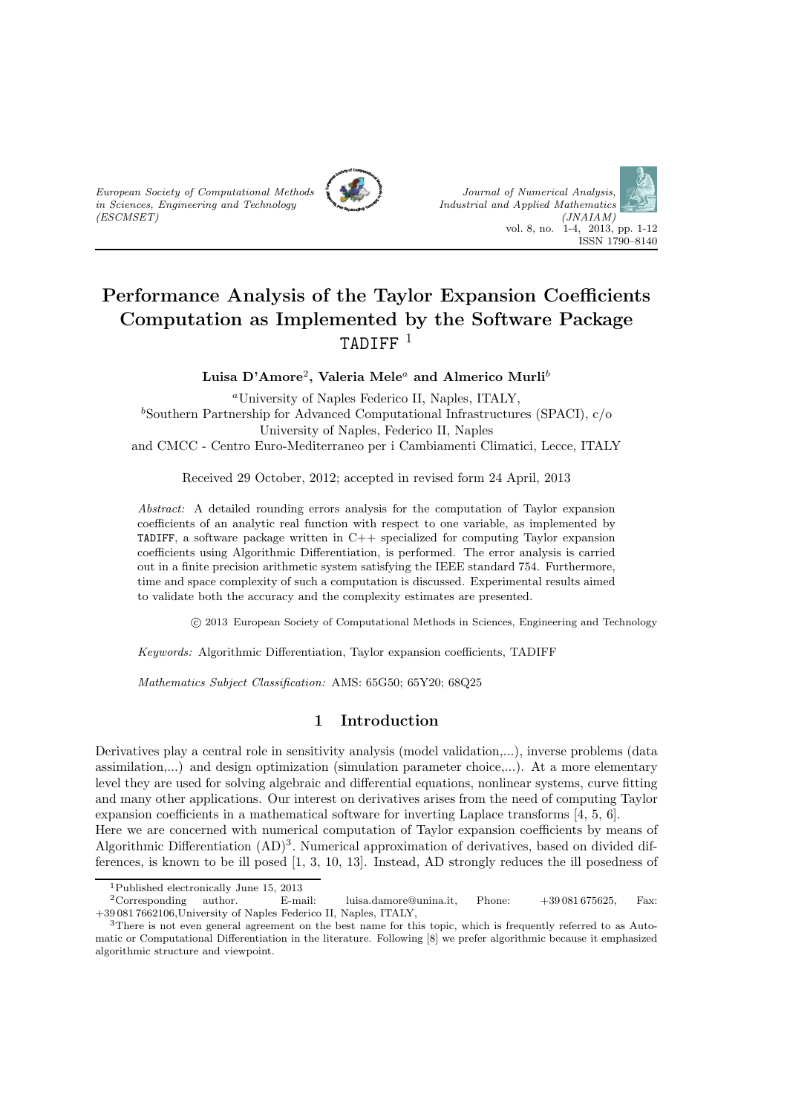



# Performance Analysis of the Taylor Expansion Coefficients Computation as Implemented by the Software Package TADIFF  $^1$

Luisa D'Amore $^2$ , Valeria Mele $^a$  and Almerico Murli $^b$ 

<sup>a</sup>University of Naples Federico II, Naples, ITALY,  $b$ Southern Partnership for Advanced Computational Infrastructures (SPACI),  $c/o$ University of Naples, Federico II, Naples and CMCC - Centro Euro-Mediterraneo per i Cambiamenti Climatici, Lecce, ITALY

Received 29 October, 2012; accepted in revised form 24 April, 2013

Abstract: A detailed rounding errors analysis for the computation of Taylor expansion coefficients of an analytic real function with respect to one variable, as implemented by **TADIFF**, a software package written in  $C++$  specialized for computing Taylor expansion coefficients using Algorithmic Differentiation, is performed. The error analysis is carried out in a finite precision arithmetic system satisfying the IEEE standard 754. Furthermore, time and space complexity of such a computation is discussed. Experimental results aimed to validate both the accuracy and the complexity estimates are presented.

c 2013 European Society of Computational Methods in Sciences, Engineering and Technology

Keywords: Algorithmic Differentiation, Taylor expansion coefficients, TADIFF

Mathematics Subject Classification: AMS: 65G50; 65Y20; 68Q25

## 1 Introduction

Derivatives play a central role in sensitivity analysis (model validation,...), inverse problems (data assimilation,...) and design optimization (simulation parameter choice,...). At a more elementary level they are used for solving algebraic and differential equations, nonlinear systems, curve fitting and many other applications. Our interest on derivatives arises from the need of computing Taylor expansion coefficients in a mathematical software for inverting Laplace transforms [4, 5, 6].

Here we are concerned with numerical computation of Taylor expansion coefficients by means of Algorithmic Differentiation  $(AD)^3$ . Numerical approximation of derivatives, based on divided differences, is known to be ill posed [1, 3, 10, 13]. Instead, AD strongly reduces the ill posedness of

<sup>1</sup>Published electronically June 15, 2013

<sup>2</sup>Corresponding author. E-mail: luisa.damore@unina.it, Phone: +39 081 675625, Fax: +39 081 7662106,University of Naples Federico II, Naples, ITALY,

<sup>3</sup>There is not even general agreement on the best name for this topic, which is frequently referred to as Automatic or Computational Differentiation in the literature. Following [8] we prefer algorithmic because it emphasized algorithmic structure and viewpoint.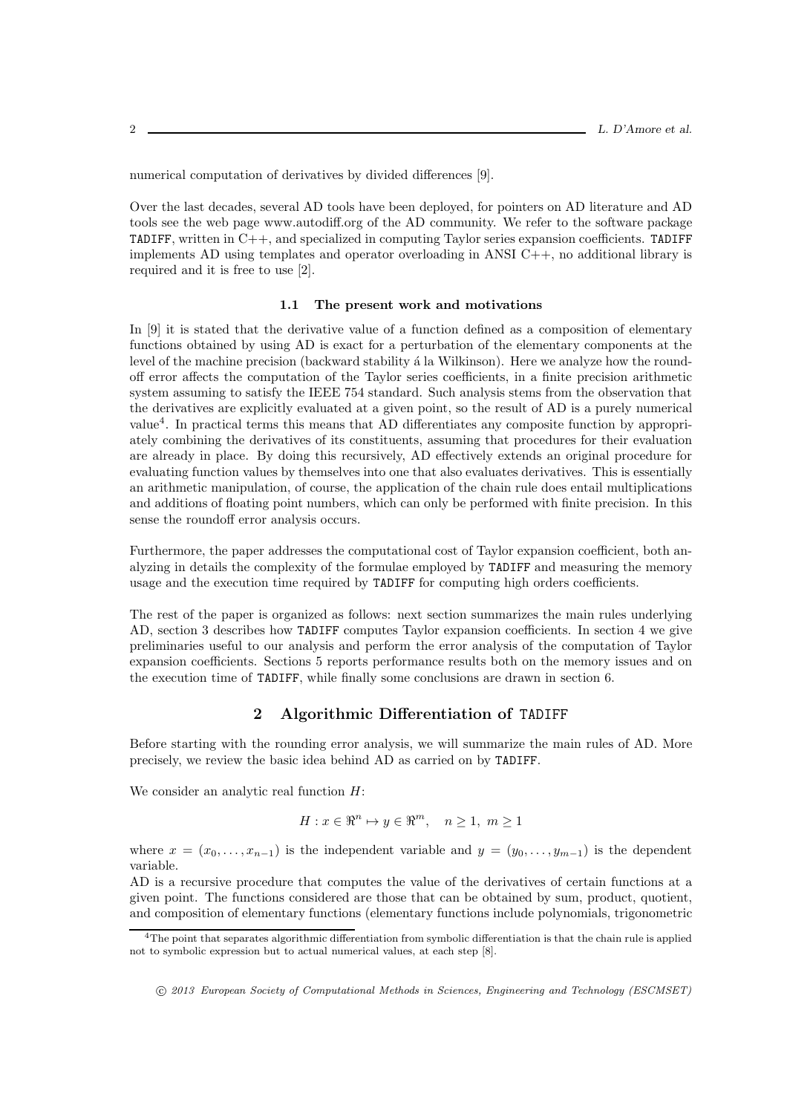numerical computation of derivatives by divided differences [9].

Over the last decades, several AD tools have been deployed, for pointers on AD literature and AD tools see the web page www.autodiff.org of the AD community. We refer to the software package TADIFF, written in C++, and specialized in computing Taylor series expansion coefficients. TADIFF implements AD using templates and operator overloading in ANSI  $C_{++}$ , no additional library is required and it is free to use [2].

#### 1.1 The present work and motivations

In [9] it is stated that the derivative value of a function defined as a composition of elementary functions obtained by using AD is exact for a perturbation of the elementary components at the level of the machine precision (backward stability a la Wilkinson). Here we analyze how the roundoff error affects the computation of the Taylor series coefficients, in a finite precision arithmetic system assuming to satisfy the IEEE 754 standard. Such analysis stems from the observation that the derivatives are explicitly evaluated at a given point, so the result of AD is a purely numerical value<sup>4</sup>. In practical terms this means that AD differentiates any composite function by appropriately combining the derivatives of its constituents, assuming that procedures for their evaluation are already in place. By doing this recursively, AD effectively extends an original procedure for evaluating function values by themselves into one that also evaluates derivatives. This is essentially an arithmetic manipulation, of course, the application of the chain rule does entail multiplications and additions of floating point numbers, which can only be performed with finite precision. In this sense the roundoff error analysis occurs.

Furthermore, the paper addresses the computational cost of Taylor expansion coefficient, both analyzing in details the complexity of the formulae employed by TADIFF and measuring the memory usage and the execution time required by TADIFF for computing high orders coefficients.

The rest of the paper is organized as follows: next section summarizes the main rules underlying AD, section 3 describes how TADIFF computes Taylor expansion coefficients. In section 4 we give preliminaries useful to our analysis and perform the error analysis of the computation of Taylor expansion coefficients. Sections 5 reports performance results both on the memory issues and on the execution time of TADIFF, while finally some conclusions are drawn in section 6.

### 2 Algorithmic Differentiation of TADIFF

Before starting with the rounding error analysis, we will summarize the main rules of AD. More precisely, we review the basic idea behind AD as carried on by TADIFF.

We consider an analytic real function  $H$ :

$$
H: x \in \mathbb{R}^n \mapsto y \in \mathbb{R}^m, \quad n \ge 1, \ m \ge 1
$$

where  $x = (x_0, \ldots, x_{n-1})$  is the independent variable and  $y = (y_0, \ldots, y_{m-1})$  is the dependent variable.

AD is a recursive procedure that computes the value of the derivatives of certain functions at a given point. The functions considered are those that can be obtained by sum, product, quotient, and composition of elementary functions (elementary functions include polynomials, trigonometric

<sup>4</sup>The point that separates algorithmic differentiation from symbolic differentiation is that the chain rule is applied not to symbolic expression but to actual numerical values, at each step [8].

c 2013 European Society of Computational Methods in Sciences, Engineering and Technology (ESCMSET)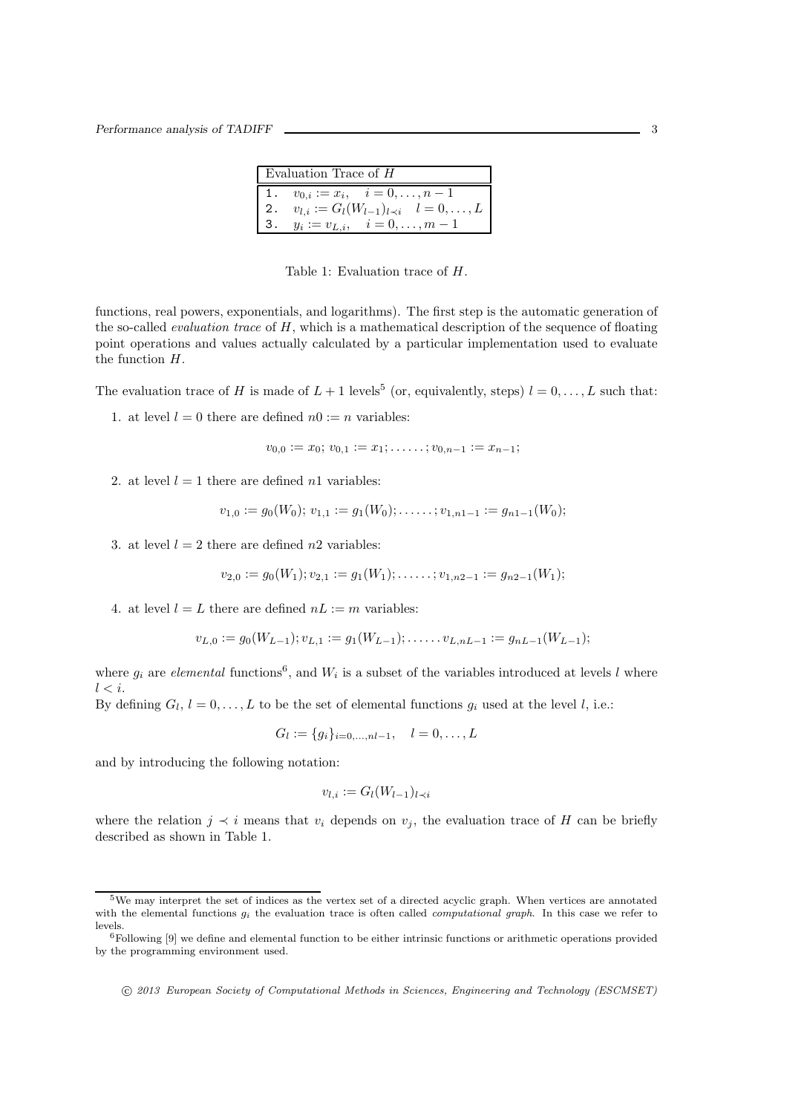| Evaluation Trace of $H$ |                                                       |  |  |
|-------------------------|-------------------------------------------------------|--|--|
|                         | 1. $v_{0,i} := x_i, \quad i = 0, \ldots, n-1$         |  |  |
|                         | 2. $v_{l,i} := G_l(W_{l-1})_{l \prec i}$ $l = 0, , L$ |  |  |
|                         | 3. $y_i := v_{L,i}, \quad i = 0, \ldots, m-1$         |  |  |

Table 1: Evaluation trace of H.

functions, real powers, exponentials, and logarithms). The first step is the automatic generation of the so-called *evaluation trace* of  $H$ , which is a mathematical description of the sequence of floating point operations and values actually calculated by a particular implementation used to evaluate the function H.

The evaluation trace of H is made of  $L + 1$  levels<sup>5</sup> (or, equivalently, steps)  $l = 0, \ldots, L$  such that:

1. at level  $l = 0$  there are defined  $n0 := n$  variables:

$$
v_{0,0} := x_0; v_{0,1} := x_1; \ldots; v_{0,n-1} := x_{n-1};
$$

2. at level  $l = 1$  there are defined n1 variables:

$$
v_{1,0} := g_0(W_0); v_{1,1} := g_1(W_0); \ldots \ldots; v_{1,n-1} := g_{n-1}(W_0);
$$

3. at level  $l = 2$  there are defined n2 variables:

$$
v_{2,0} := g_0(W_1); v_{2,1} := g_1(W_1); \ldots; v_{1,n-1} := g_{n-1}(W_1);
$$

4. at level  $l = L$  there are defined  $nL := m$  variables:

$$
v_{L,0} := g_0(W_{L-1}); v_{L,1} := g_1(W_{L-1}); \ldots \ldots \ldots \ldots \ldots \ldots = g_{nL-1}(W_{L-1});
$$

where  $g_i$  are *elemental* functions<sup>6</sup>, and  $W_i$  is a subset of the variables introduced at levels l where  $l < i$ .

By defining  $G_l, l = 0, \ldots, L$  to be the set of elemental functions  $g_i$  used at the level l, i.e.:

$$
G_l := \{g_i\}_{i=0,\dots,nl-1}, \quad l=0,\dots,L
$$

and by introducing the following notation:

$$
v_{l,i} := G_l(W_{l-1})_{l \prec i}
$$

where the relation  $j \prec i$  means that  $v_i$  depends on  $v_j$ , the evaluation trace of H can be briefly described as shown in Table 1.

<sup>5</sup>We may interpret the set of indices as the vertex set of a directed acyclic graph. When vertices are annotated with the elemental functions  $g_i$  the evaluation trace is often called *computational graph*. In this case we refer to levels.

<sup>6</sup>Following [9] we define and elemental function to be either intrinsic functions or arithmetic operations provided by the programming environment used.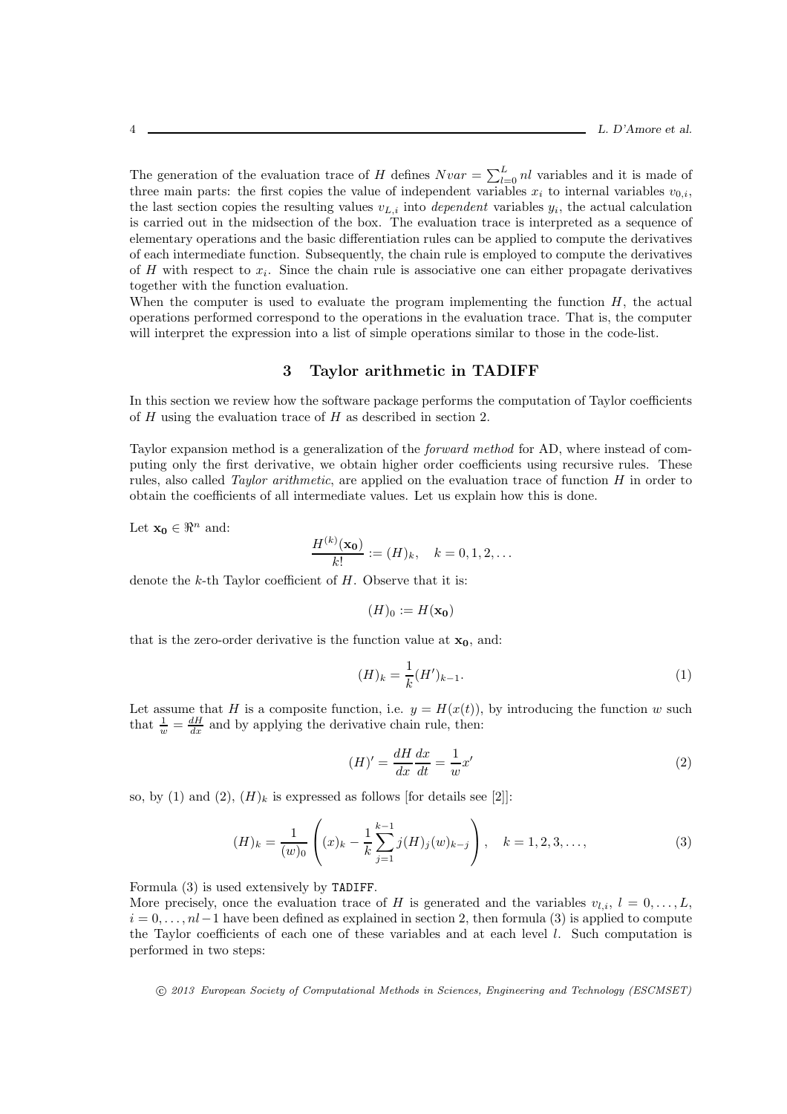The generation of the evaluation trace of H defines  $Nvar = \sum_{l=0}^{L} nl$  variables and it is made of three main parts: the first copies the value of independent variables  $x_i$  to internal variables  $v_{0,i}$ , the last section copies the resulting values  $v_{L,i}$  into *dependent* variables  $y_i$ , the actual calculation is carried out in the midsection of the box. The evaluation trace is interpreted as a sequence of elementary operations and the basic differentiation rules can be applied to compute the derivatives of each intermediate function. Subsequently, the chain rule is employed to compute the derivatives of  $H$  with respect to  $x_i$ . Since the chain rule is associative one can either propagate derivatives together with the function evaluation.

When the computer is used to evaluate the program implementing the function  $H$ , the actual operations performed correspond to the operations in the evaluation trace. That is, the computer will interpret the expression into a list of simple operations similar to those in the code-list.

## 3 Taylor arithmetic in TADIFF

In this section we review how the software package performs the computation of Taylor coefficients of  $H$  using the evaluation trace of  $H$  as described in section 2.

Taylor expansion method is a generalization of the forward method for AD, where instead of computing only the first derivative, we obtain higher order coefficients using recursive rules. These rules, also called *Taylor arithmetic*, are applied on the evaluation trace of function  $H$  in order to obtain the coefficients of all intermediate values. Let us explain how this is done.

Let  $\mathbf{x_0} \in \mathbb{R}^n$  and:

$$
\frac{H^{(k)}(\mathbf{x_0})}{k!} := (H)_k, \quad k = 0, 1, 2, \dots
$$

denote the  $k$ -th Taylor coefficient of  $H$ . Observe that it is:

$$
(H)_0 := H(\mathbf{x_0})
$$

that is the zero-order derivative is the function value at  $x_0$ , and:

$$
(H)_k = \frac{1}{k}(H')_{k-1}.
$$
 (1)

Let assume that H is a composite function, i.e.  $y = H(x(t))$ , by introducing the function w such that  $\frac{1}{w} = \frac{dH}{dx}$  and by applying the derivative chain rule, then:

$$
(H)' = \frac{dH}{dx}\frac{dx}{dt} = \frac{1}{w}x'
$$
\n<sup>(2)</sup>

so, by (1) and (2),  $(H)_k$  is expressed as follows [for details see [2]]:

$$
(H)_k = \frac{1}{(w)_0} \left( (x)_k - \frac{1}{k} \sum_{j=1}^{k-1} j(H)_j(w)_{k-j} \right), \quad k = 1, 2, 3, \dots,
$$
 (3)

Formula (3) is used extensively by TADIFF.

More precisely, once the evaluation trace of H is generated and the variables  $v_{l,i}$ ,  $l = 0, \ldots, L$ ,  $i = 0, \ldots, nl-1$  have been defined as explained in section 2, then formula (3) is applied to compute the Taylor coefficients of each one of these variables and at each level l. Such computation is performed in two steps: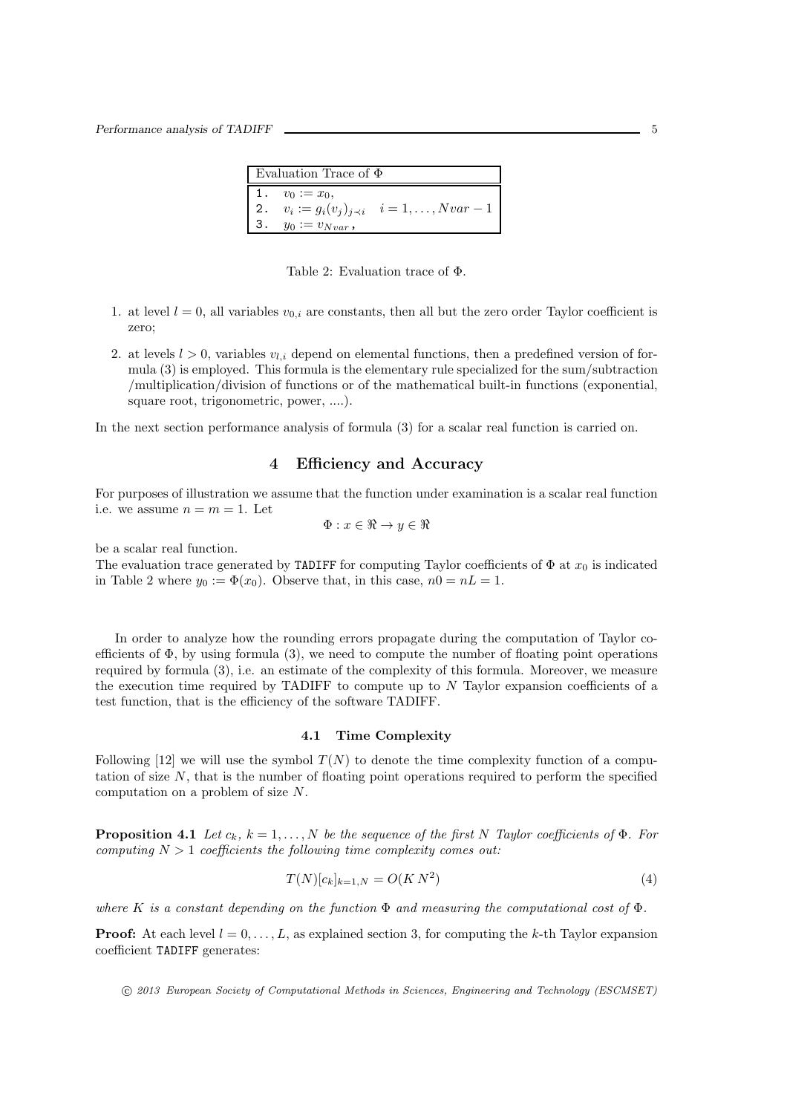| Evaluation Trace of $\Phi$ |                        |                                                     |  |  |
|----------------------------|------------------------|-----------------------------------------------------|--|--|
|                            | 1. $v_0 := x_0$ ,      |                                                     |  |  |
|                            |                        | 2. $v_i := g_i(v_j)_{j \leq i}$ $i = 1, , Nvar - 1$ |  |  |
|                            | 3. $y_0 := v_{Nvar}$ , |                                                     |  |  |

Table 2: Evaluation trace of Φ.

- 1. at level  $l = 0$ , all variables  $v_{0,i}$  are constants, then all but the zero order Taylor coefficient is zero;
- 2. at levels  $l > 0$ , variables  $v_{l,i}$  depend on elemental functions, then a predefined version of formula (3) is employed. This formula is the elementary rule specialized for the sum/subtraction /multiplication/division of functions or of the mathematical built-in functions (exponential, square root, trigonometric, power, ....).

In the next section performance analysis of formula (3) for a scalar real function is carried on.

## 4 Efficiency and Accuracy

For purposes of illustration we assume that the function under examination is a scalar real function i.e. we assume  $n = m = 1$ . Let

$$
\Phi: x \in \Re \to y \in \Re
$$

be a scalar real function.

The evaluation trace generated by TADIFF for computing Taylor coefficients of  $\Phi$  at  $x_0$  is indicated in Table 2 where  $y_0 := \Phi(x_0)$ . Observe that, in this case,  $n0 = nL = 1$ .

In order to analyze how the rounding errors propagate during the computation of Taylor coefficients of  $\Phi$ , by using formula (3), we need to compute the number of floating point operations required by formula (3), i.e. an estimate of the complexity of this formula. Moreover, we measure the execution time required by TADIFF to compute up to N Taylor expansion coefficients of a test function, that is the efficiency of the software TADIFF.

#### 4.1 Time Complexity

Following [12] we will use the symbol  $T(N)$  to denote the time complexity function of a computation of size  $N$ , that is the number of floating point operations required to perform the specified computation on a problem of size N.

**Proposition 4.1** Let  $c_k$ ,  $k = 1, ..., N$  be the sequence of the first N Taylor coefficients of  $\Phi$ . For computing  $N > 1$  coefficients the following time complexity comes out:

$$
T(N)[c_k]_{k=1,N} = O(K N^2)
$$
\n(4)

where K is a constant depending on the function  $\Phi$  and measuring the computational cost of  $\Phi$ .

**Proof:** At each level  $l = 0, \ldots, L$ , as explained section 3, for computing the k-th Taylor expansion coefficient TADIFF generates: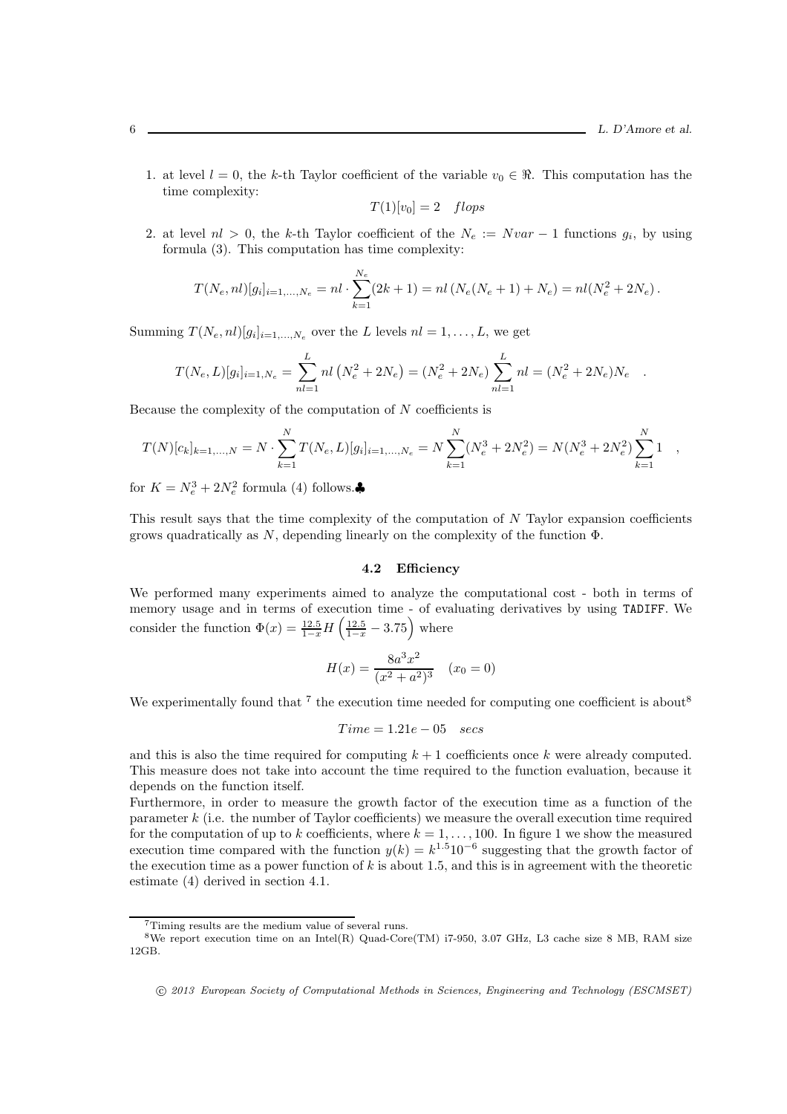1. at level  $l = 0$ , the k-th Taylor coefficient of the variable  $v_0 \in \mathbb{R}$ . This computation has the time complexity:

$$
T(1)[v_0] = 2 \quad flops
$$

2. at level  $nl > 0$ , the k-th Taylor coefficient of the  $N_e := Nvar - 1$  functions  $g_i$ , by using formula (3). This computation has time complexity:

$$
T(N_e, nl)[g_i]_{i=1,\dots,N_e} = nl \cdot \sum_{k=1}^{N_e} (2k+1) = nl (N_e(N_e+1) + N_e) = nl(N_e^2 + 2N_e).
$$

Summing  $T(N_e, nl)[g_i]_{i=1,\dots,N_e}$  over the L levels  $nl = 1,\dots,L$ , we get

$$
T(N_e, L)[g_i]_{i=1, N_e} = \sum_{nl=1}^{L} nl (N_e^2 + 2N_e) = (N_e^2 + 2N_e) \sum_{nl=1}^{L} nl = (N_e^2 + 2N_e)N_e.
$$

Because the complexity of the computation of  $N$  coefficients is

$$
T(N)[c_k]_{k=1,\dots,N} = N \cdot \sum_{k=1}^N T(N_e, L)[g_i]_{i=1,\dots,N_e} = N \sum_{k=1}^N (N_e^3 + 2N_e^2) = N(N_e^3 + 2N_e^2) \sum_{k=1}^N 1,
$$

for  $K = N_e^3 + 2N_e^2$  formula (4) follows.

This result says that the time complexity of the computation of N Taylor expansion coefficients grows quadratically as  $N$ , depending linearly on the complexity of the function  $\Phi$ .

#### 4.2 Efficiency

We performed many experiments aimed to analyze the computational cost - both in terms of memory usage and in terms of execution time - of evaluating derivatives by using TADIFF. We consider the function  $\Phi(x) = \frac{12.5}{1-x} H\left(\frac{12.5}{1-x} - 3.75\right)$  where

$$
H(x) = \frac{8a^3x^2}{(x^2 + a^2)^3} \quad (x_0 = 0)
$$

We experimentally found that  $7$  the execution time needed for computing one coefficient is about<sup>8</sup>

$$
Time = 1.21e - 05 \quad secs
$$

and this is also the time required for computing  $k + 1$  coefficients once k were already computed. This measure does not take into account the time required to the function evaluation, because it depends on the function itself.

Furthermore, in order to measure the growth factor of the execution time as a function of the parameter k (i.e. the number of Taylor coefficients) we measure the overall execution time required for the computation of up to k coefficients, where  $k = 1, \ldots, 100$ . In figure 1 we show the measured execution time compared with the function  $y(k) = k^{1.5} 10^{-6}$  suggesting that the growth factor of the execution time as a power function of  $k$  is about 1.5, and this is in agreement with the theoretic estimate (4) derived in section 4.1.

<sup>7</sup>Timing results are the medium value of several runs.

<sup>8</sup>We report execution time on an Intel(R) Quad-Core(TM) i7-950, 3.07 GHz, L3 cache size 8 MB, RAM size 12GB.

c 2013 European Society of Computational Methods in Sciences, Engineering and Technology (ESCMSET)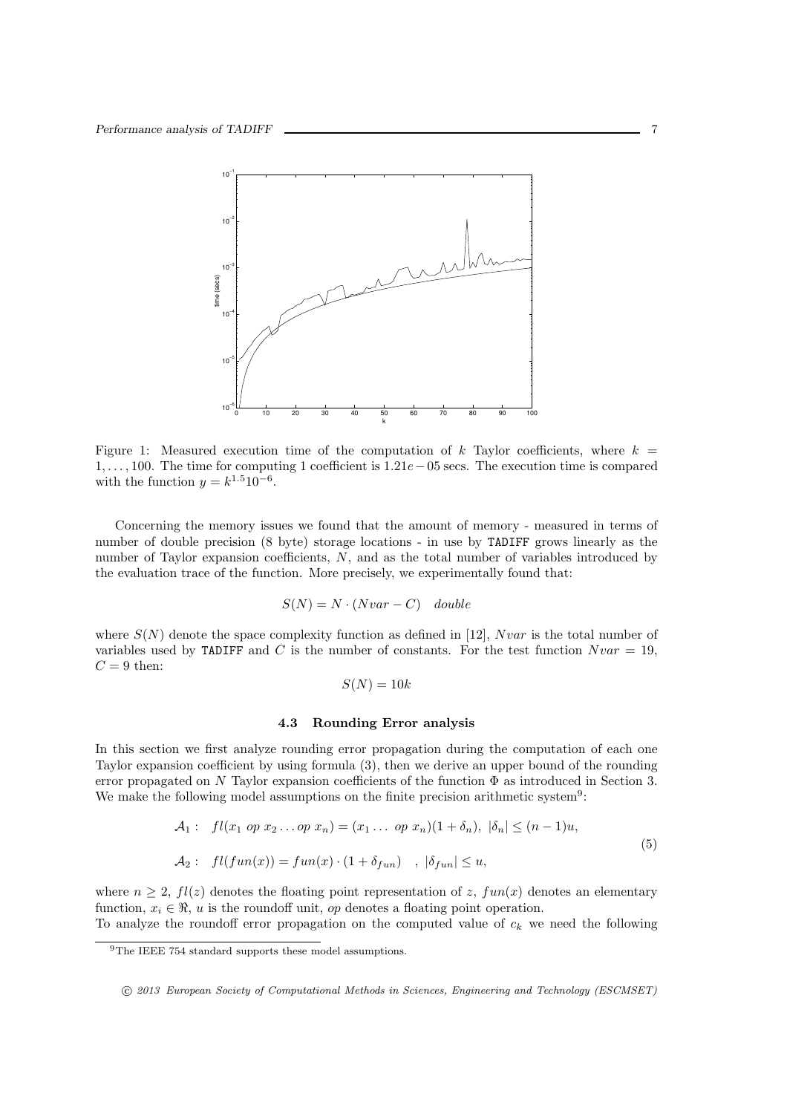

Figure 1: Measured execution time of the computation of k Taylor coefficients, where  $k =$ 1, . . . , 100. The time for computing 1 coefficient is 1.21e−05 secs. The execution time is compared with the function  $y = k^{1.5} 10^{-6}$ .

Concerning the memory issues we found that the amount of memory - measured in terms of number of double precision (8 byte) storage locations - in use by TADIFF grows linearly as the number of Taylor expansion coefficients, N, and as the total number of variables introduced by the evaluation trace of the function. More precisely, we experimentally found that:

$$
S(N) = N \cdot (Nvar - C) \quad double
$$

where  $S(N)$  denote the space complexity function as defined in [12], Nvar is the total number of variables used by TADIFF and C is the number of constants. For the test function  $Nvar = 19$ ,  $C = 9$  then:

$$
S(N) = 10k
$$

#### 4.3 Rounding Error analysis

In this section we first analyze rounding error propagation during the computation of each one Taylor expansion coefficient by using formula (3), then we derive an upper bound of the rounding error propagated on N Taylor expansion coefficients of the function  $\Phi$  as introduced in Section 3. We make the following model assumptions on the finite precision arithmetic system<sup>9</sup>:

$$
\mathcal{A}_1: \quad fl(x_1 \text{ op } x_2 \dots \text{ op } x_n) = (x_1 \dots \text{ op } x_n)(1 + \delta_n), \ |\delta_n| \le (n-1)u,
$$
  

$$
\mathcal{A}_2: \quad fl(fun(x)) = fun(x) \cdot (1 + \delta_{fun}) \quad , \ |\delta_{fun}| \le u,
$$
  
(5)

where  $n \geq 2$ ,  $fl(z)$  denotes the floating point representation of z,  $fun(x)$  denotes an elementary function,  $x_i \in \mathbb{R}$ , u is the roundoff unit, op denotes a floating point operation.

To analyze the roundoff error propagation on the computed value of  $c_k$  we need the following

<sup>&</sup>lt;sup>9</sup>The IEEE 754 standard supports these model assumptions.

c 2013 European Society of Computational Methods in Sciences, Engineering and Technology (ESCMSET)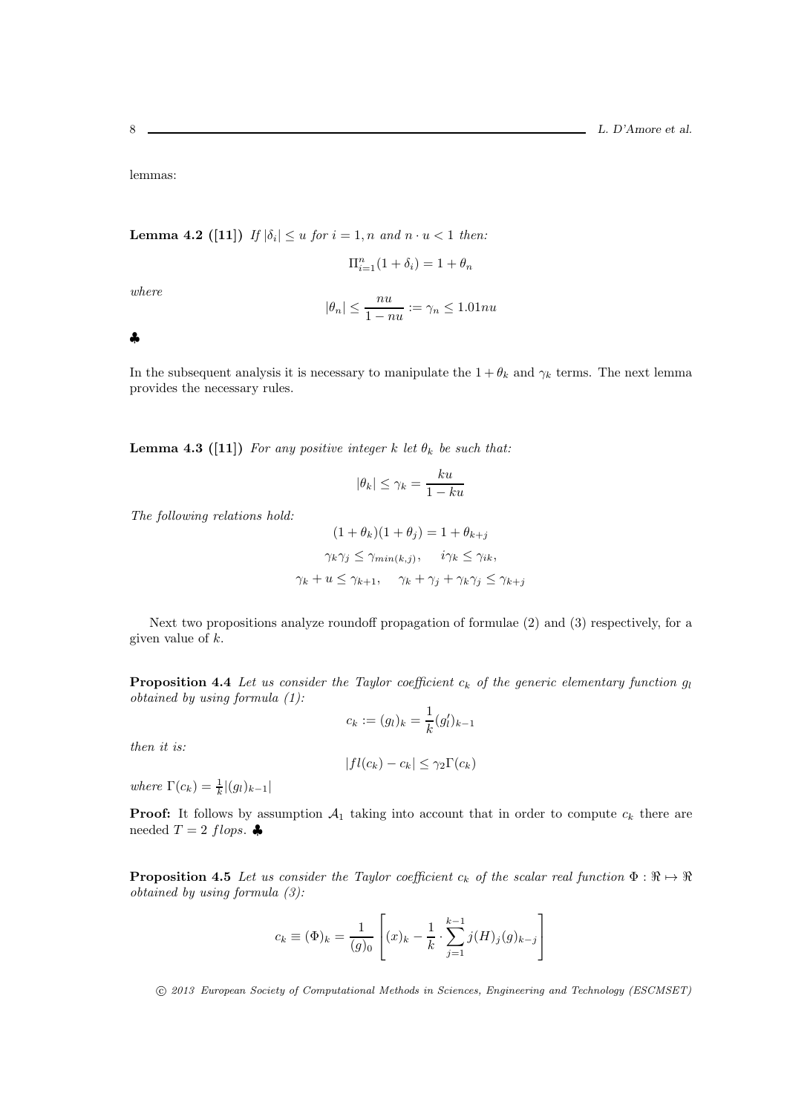lemmas:

**Lemma 4.2** ([11]) If  $|\delta_i| \leq u$  for  $i = 1, n$  and  $n \cdot u < 1$  then:

 $\Pi_{i=1}^{n}(1+\delta_{i})=1+\theta_{n}$ 

where

$$
|\theta_n| \le \frac{nu}{1 - nu} := \gamma_n \le 1.01nu
$$

♣

In the subsequent analysis it is necessary to manipulate the  $1 + \theta_k$  and  $\gamma_k$  terms. The next lemma provides the necessary rules.

**Lemma 4.3 ([11])** For any positive integer k let  $\theta_k$  be such that:

$$
|\theta_k|\leq \gamma_k=\frac{ku}{1-ku}
$$

The following relations hold:

$$
(1 + \theta_k)(1 + \theta_j) = 1 + \theta_{k+j}
$$
  

$$
\gamma_k \gamma_j \le \gamma_{min(k,j)}, \quad i\gamma_k \le \gamma_{ik},
$$
  

$$
\gamma_k + u \le \gamma_{k+1}, \quad \gamma_k + \gamma_j + \gamma_k \gamma_j \le \gamma_{k+j}
$$

Next two propositions analyze roundoff propagation of formulae (2) and (3) respectively, for a given value of  $k$ .

**Proposition 4.4** Let us consider the Taylor coefficient  $c_k$  of the generic elementary function  $g_l$ obtained by using formula (1):

$$
c_k := (g_l)_k = \frac{1}{k}(g'_l)_{k-1}
$$

then it is:

$$
|fl(c_k) - c_k| \leq \gamma_2 \Gamma(c_k)
$$

where  $\Gamma(c_k) = \frac{1}{k} |(g_l)_{k-1}|$ 

**Proof:** It follows by assumption  $A_1$  taking into account that in order to compute  $c_k$  there are needed  $T = 2$  flops.

**Proposition 4.5** Let us consider the Taylor coefficient  $c_k$  of the scalar real function  $\Phi : \Re \mapsto \Re$ obtained by using formula (3):

$$
c_k \equiv (\Phi)_k = \frac{1}{(g)_0} \left[ (x)_k - \frac{1}{k} \cdot \sum_{j=1}^{k-1} j(H)_j(g)_{k-j} \right]
$$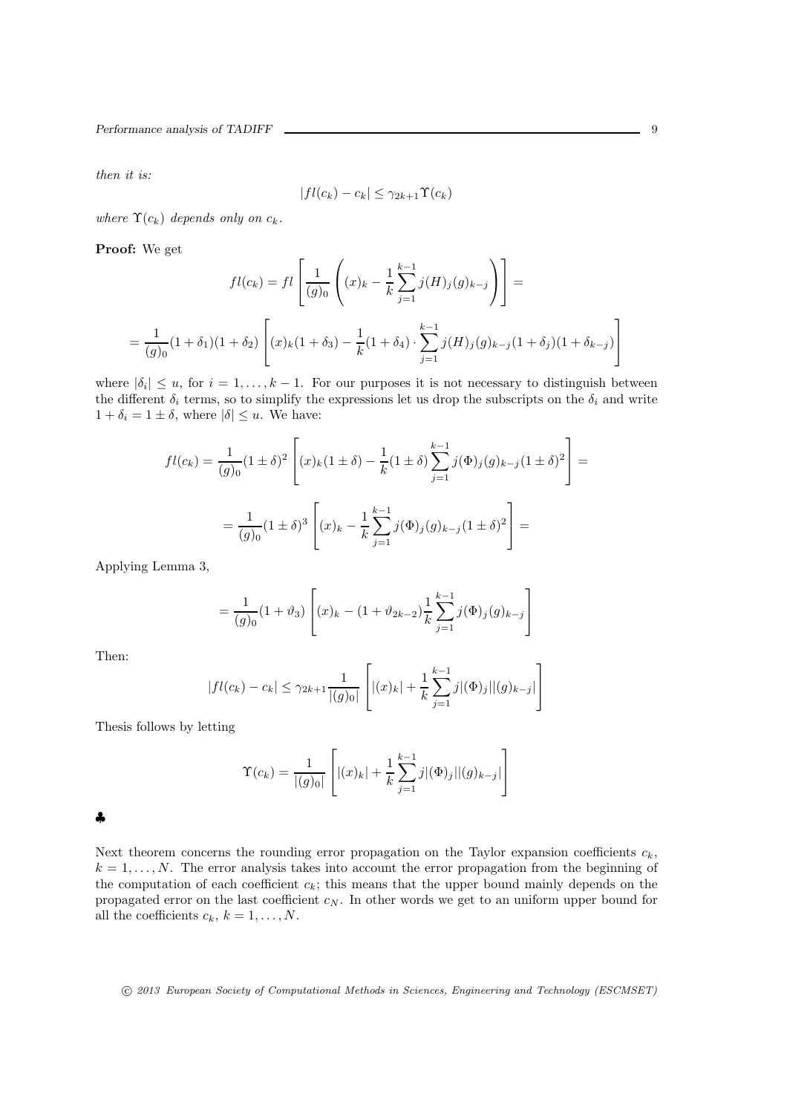then it is:

$$
|fl(c_k) - c_k| \leq \gamma_{2k+1} \Upsilon(c_k)
$$

where  $\Upsilon(c_k)$  depends only on  $c_k$ .

Proof: We get

$$
fl(c_k) = fl\left[\frac{1}{(g)_0}\left((x)_k - \frac{1}{k}\sum_{j=1}^{k-1} j(H)_j(g)_{k-j}\right)\right] =
$$
  
= 
$$
\frac{1}{(g)_0}(1+\delta_1)(1+\delta_2)\left[(x)_k(1+\delta_3) - \frac{1}{k}(1+\delta_4) \cdot \sum_{j=1}^{k-1} j(H)_j(g)_{k-j}(1+\delta_j)(1+\delta_{k-j})\right]
$$

where  $|\delta_i| \leq u$ , for  $i = 1, ..., k - 1$ . For our purposes it is not necessary to distinguish between the different  $\delta_i$  terms, so to simplify the expressions let us drop the subscripts on the  $\delta_i$  and write  $1 + \delta_i = 1 \pm \delta$ , where  $|\delta| \leq u$ . We have:

$$
fl(c_k) = \frac{1}{(g)_0} (1 \pm \delta)^2 \left[ (x)_k (1 \pm \delta) - \frac{1}{k} (1 \pm \delta) \sum_{j=1}^{k-1} j(\Phi)_j (g)_{k-j} (1 \pm \delta)^2 \right] =
$$
  
= 
$$
\frac{1}{(g)_0} (1 \pm \delta)^3 \left[ (x)_k - \frac{1}{k} \sum_{j=1}^{k-1} j(\Phi)_j (g)_{k-j} (1 \pm \delta)^2 \right] =
$$

Applying Lemma 3,

$$
= \frac{1}{(g)_0} (1 + \vartheta_3) \left[ (x)_k - (1 + \vartheta_{2k-2}) \frac{1}{k} \sum_{j=1}^{k-1} j(\Phi)_j (g)_{k-j} \right]
$$

Then:

$$
|fl(c_k) - c_k| \leq \gamma_{2k+1} \frac{1}{|(g)_{0}|} \left[ |(x)_{k}| + \frac{1}{k} \sum_{j=1}^{k-1} j |(\Phi)_{j}| |(g)_{k-j}| \right]
$$

Thesis follows by letting

$$
\Upsilon(c_k) = \frac{1}{|(g)_0|} \left[ |(x)_k| + \frac{1}{k} \sum_{j=1}^{k-1} j |(\Phi)_j| |(g)_{k-j}| \right]
$$

| ٠                 |  |
|-------------------|--|
| ×<br>۰.<br>I<br>I |  |

Next theorem concerns the rounding error propagation on the Taylor expansion coefficients  $c_k$ ,  $k = 1, \ldots, N$ . The error analysis takes into account the error propagation from the beginning of the computation of each coefficient  $c_k$ ; this means that the upper bound mainly depends on the propagated error on the last coefficient  $c_N$ . In other words we get to an uniform upper bound for all the coefficients  $c_k$ ,  $k = 1, \ldots, N$ .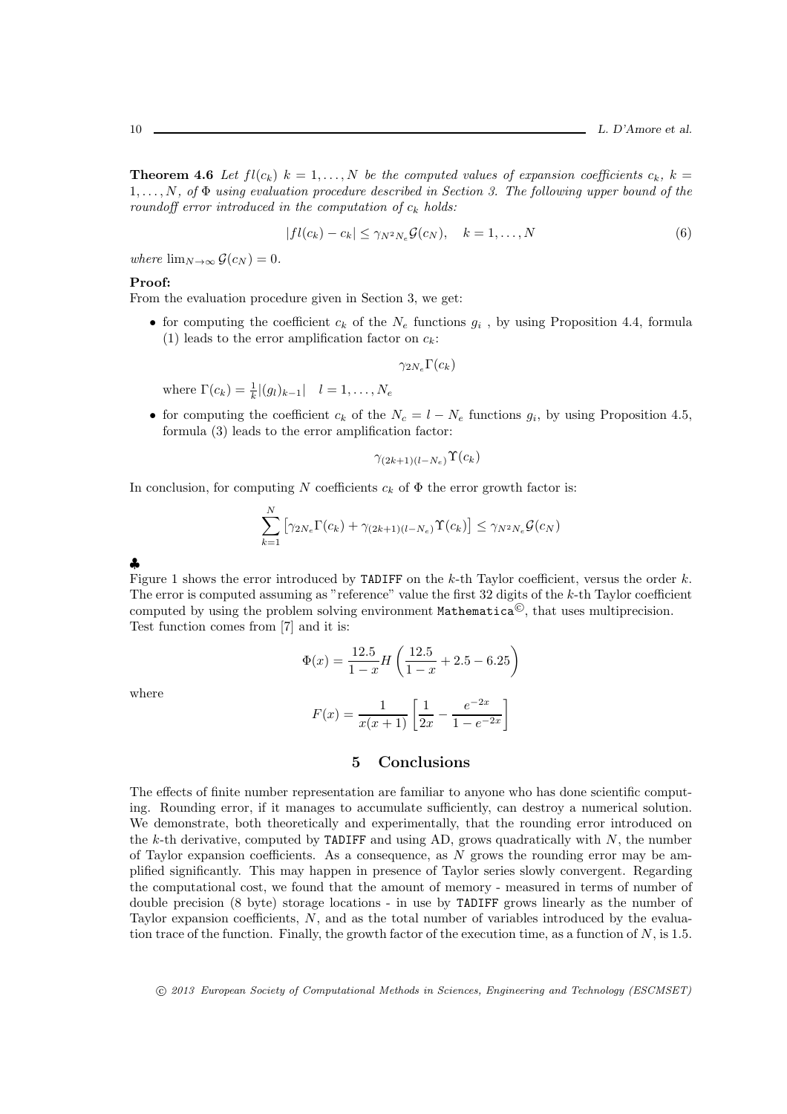**Theorem 4.6** Let  $fl(c_k)$   $k = 1, ..., N$  be the computed values of expansion coefficients  $c_k$ ,  $k =$  $1, \ldots, N$ , of  $\Phi$  using evaluation procedure described in Section 3. The following upper bound of the roundoff error introduced in the computation of  $c_k$  holds:

$$
|fl(c_k) - c_k| \le \gamma_{N^2 N_e} \mathcal{G}(c_N), \quad k = 1, \dots, N
$$
\n<sup>(6)</sup>

where  $\lim_{N\to\infty} \mathcal{G}(c_N) = 0.$ 

## Proof:

From the evaluation procedure given in Section 3, we get:

• for computing the coefficient  $c_k$  of the  $N_e$  functions  $g_i$ , by using Proposition 4.4, formula (1) leads to the error amplification factor on  $c_k$ :

$$
\gamma_{2N_e} \Gamma(c_k)
$$

where  $\Gamma(c_k) = \frac{1}{k} |(g_l)_{k-1}| \quad l = 1, ..., N_e$ 

• for computing the coefficient  $c_k$  of the  $N_c = l - N_e$  functions  $g_i$ , by using Proposition 4.5, formula (3) leads to the error amplification factor:

$$
\gamma_{(2k+1)(l-N_e)}\Upsilon(c_k)
$$

In conclusion, for computing N coefficients  $c_k$  of  $\Phi$  the error growth factor is:

$$
\sum_{k=1}^{N} \left[ \gamma_{2N_e} \Gamma(c_k) + \gamma_{(2k+1)(l-N_e)} \Upsilon(c_k) \right] \leq \gamma_{N^2 N_e} \mathcal{G}(c_N)
$$

| I                      |  |
|------------------------|--|
| ۰.<br>r<br>×<br>×<br>٦ |  |

Figure 1 shows the error introduced by TADIFF on the  $k$ -th Taylor coefficient, versus the order  $k$ . The error is computed assuming as "reference" value the first  $32$  digits of the k-th Taylor coefficient computed by using the problem solving environment  $\texttt{Mathematica}^{\mathbb{C}}$ , that uses multiprecision. Test function comes from [7] and it is:

$$
\Phi(x) = \frac{12.5}{1-x} H\left(\frac{12.5}{1-x} + 2.5 - 6.25\right)
$$

where

$$
F(x) = \frac{1}{x(x+1)} \left[ \frac{1}{2x} - \frac{e^{-2x}}{1 - e^{-2x}} \right]
$$

## 5 Conclusions

The effects of finite number representation are familiar to anyone who has done scientific computing. Rounding error, if it manages to accumulate sufficiently, can destroy a numerical solution. We demonstrate, both theoretically and experimentally, that the rounding error introduced on the k-th derivative, computed by TADIFF and using AD, grows quadratically with  $N$ , the number of Taylor expansion coefficients. As a consequence, as N grows the rounding error may be amplified significantly. This may happen in presence of Taylor series slowly convergent. Regarding the computational cost, we found that the amount of memory - measured in terms of number of double precision (8 byte) storage locations - in use by TADIFF grows linearly as the number of Taylor expansion coefficients,  $N$ , and as the total number of variables introduced by the evaluation trace of the function. Finally, the growth factor of the execution time, as a function of  $N$ , is 1.5.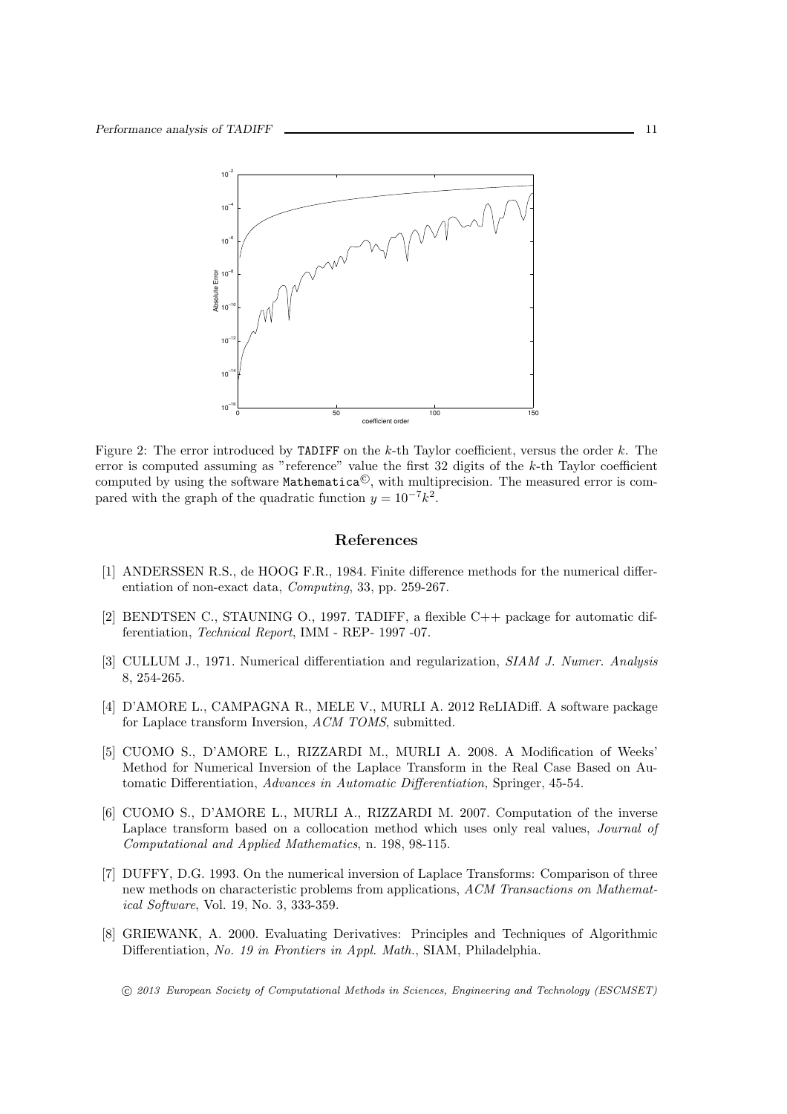

Figure 2: The error introduced by TADIFF on the  $k$ -th Taylor coefficient, versus the order  $k$ . The error is computed assuming as "reference" value the first 32 digits of the k-th Taylor coefficient computed by using the software  $\texttt{Mathematica}^{\mathbb{C}}$ , with multiprecision. The measured error is compared with the graph of the quadratic function  $y = 10^{-7}k^2$ .

#### References

- [1] ANDERSSEN R.S., de HOOG F.R., 1984. Finite difference methods for the numerical differentiation of non-exact data, Computing, 33, pp. 259-267.
- [2] BENDTSEN C., STAUNING O., 1997. TADIFF, a flexible C++ package for automatic differentiation, Technical Report, IMM - REP- 1997 -07.
- [3] CULLUM J., 1971. Numerical differentiation and regularization, SIAM J. Numer. Analysis 8, 254-265.
- [4] D'AMORE L., CAMPAGNA R., MELE V., MURLI A. 2012 ReLIADiff. A software package for Laplace transform Inversion, ACM TOMS, submitted.
- [5] CUOMO S., D'AMORE L., RIZZARDI M., MURLI A. 2008. A Modification of Weeks' Method for Numerical Inversion of the Laplace Transform in the Real Case Based on Automatic Differentiation, Advances in Automatic Differentiation, Springer, 45-54.
- [6] CUOMO S., D'AMORE L., MURLI A., RIZZARDI M. 2007. Computation of the inverse Laplace transform based on a collocation method which uses only real values, *Journal of* Computational and Applied Mathematics, n. 198, 98-115.
- [7] DUFFY, D.G. 1993. On the numerical inversion of Laplace Transforms: Comparison of three new methods on characteristic problems from applications, ACM Transactions on Mathematical Software, Vol. 19, No. 3, 333-359.
- [8] GRIEWANK, A. 2000. Evaluating Derivatives: Principles and Techniques of Algorithmic Differentiation, No. 19 in Frontiers in Appl. Math., SIAM, Philadelphia.